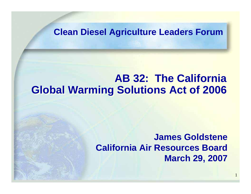#### **Clean Diesel Agriculture Leaders Forum**

#### **AB 32: The California AB 32: The California Global Warming Solutions Act of 2006 Global Warming Solutions Act of 2006**

#### **James GoldsteneCalifornia Air Resources BoardMarch 29, 2007**

1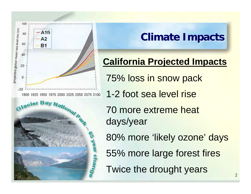

# **Climate Impacts Climate Impacts Climate Impacts**

### **California Projected Impacts**

75% loss in snow pack

- 1-2 foot sea level rise
- 70 more extreme heat days/year

80% more 'likely ozone' days

55% more large forest fires

Twice the drought years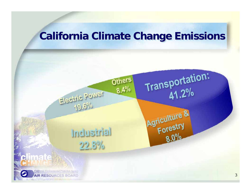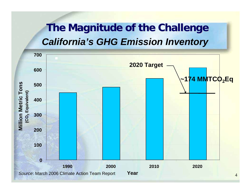# **The Magnitude of the Challenge The Magnitude of the Challenge** *California's GHG Emission Inventory*

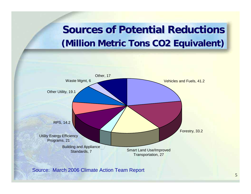# **Sources of Potential Reductions (Million Metric Tons CO2 Equivalent) (Million Metric Tons CO2 Equivalent) (Million Metric Tons CO2 Equivalent)**



Source: March 2006 Climate Action Team Report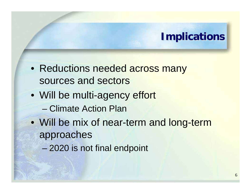#### **Implications Implications Implications**

- Reductions needed across many sources and sectors
- Will be multi-agency effort – Climate Action Plan
- Will be mix of near-term and long-term approaches
	- 2020 is not final endpoint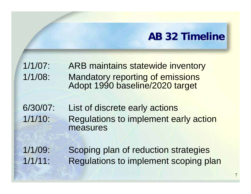### **AB 32 Timeline AB 32 Timeline AB 32 Timeline**

- 1/1/07: ARB maintains statewide inventory 1/1/08: Mandatory reporting of emissions Adopt 1990 baseline/2020 target
- 6/30/07: List of discrete early actions 1/1/10: Regulations to implement early action measures
- 1/1/09: Scoping plan of reduction strategies 1/1/11: Regulations to implement scoping plan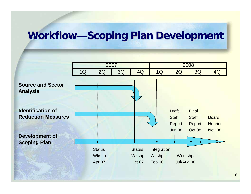# **Workflow—Scoping Plan Development**

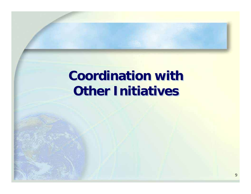# **Coordination with Other Initiatives**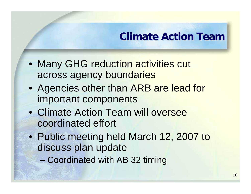# **Climate Action Team Climate Action Team Climate Action Team**

- Many GHG reduction activities cut across agency boundaries
- Agencies other than ARB are lead for important components
- Climate Action Team will oversee coordinated effort
- Public meeting held March 12, 2007 to discuss plan update
	- Coordinated with AB 32 timing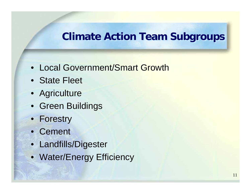#### **Climate Action Team Subgroups Climate Action Team Subgroups**

- Local Government/Smart Growth
- State Fleet
- Agriculture
- Green Buildings
- Forestry
- Cement
- Landfills/Digester
- Water/Energy Efficiency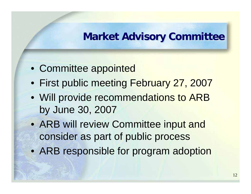#### **Market Advisory Committee**

- Committee appointed
- First public meeting February 27, 2007
- Will provide recommendations to ARB by June 30, 2007
- ARB will review Committee input and consider as part of public process
- ARB responsible for program adoption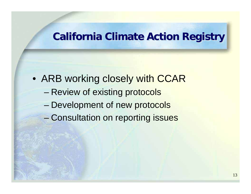#### **California Climate Action Registry California Climate Action Registry California Climate Action Registry**

• ARB working closely with CCAR

- –Review of existing protocols
- –Development of new protocols
- –Consultation on reporting issues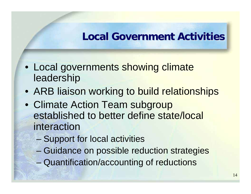#### **Local Government Activities Local Government Activities Local Government Activities**

- Local governments showing climate leadership
- ARB liaison working to build relationships
- Climate Action Team subgroup established to better define state/local interaction
	- –Support for local activities
	- –Guidance on possible reduction strategies
	- Quantification/accounting of reductions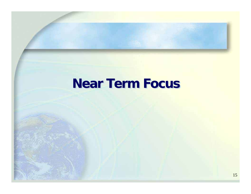# **Near Term Focus Near Term Focus Near Term Focus**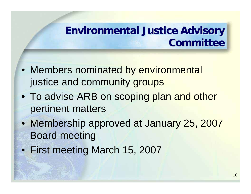# **Environmental Justice Advisory CommitteeCommittee Committee**

- Members nominated by environmental justice and community groups
- To advise ARB on scoping plan and other pertinent matters
- Membership approved at January 25, 2007 Board meeting
- First meeting March 15, 2007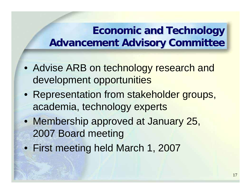# **Economic and Technology Advancement Advisory Committee Advancement Advisory Committee Advancement Advisory Committee**

- Advise ARB on technology research and development opportunities
- Representation from stakeholder groups, academia, technology experts
- Membership approved at January 25, 2007 Board meeting
- First meeting held March 1, 2007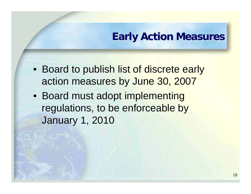#### **Early Action Measures Early Action Measures Early Action Measures**

- Board to publish list of discrete early action measures by June 30, 2007
- Board must adopt implementing regulations, to be enforceable by January 1, 2010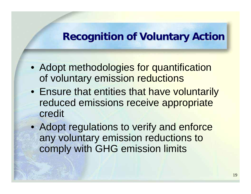#### **Recognition of Voluntary Action**

- Adopt methodologies for quantification of voluntary emission reductions
- Ensure that entities that have voluntarily reduced emissions receive appropriate credit
- Adopt regulations to verify and enforce any voluntary emission reductions to comply with GHG emission limits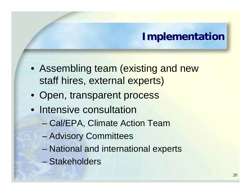### **Implementation Implementation Implementation**

- Assembling team (existing and new staff hires, external experts)
- Open, transparent process
- Intensive consultation
	- Cal/EPA, Climate Action Team
	- and the state of the state Advisory Committees
	- –National and international experts
	- Stakeholders